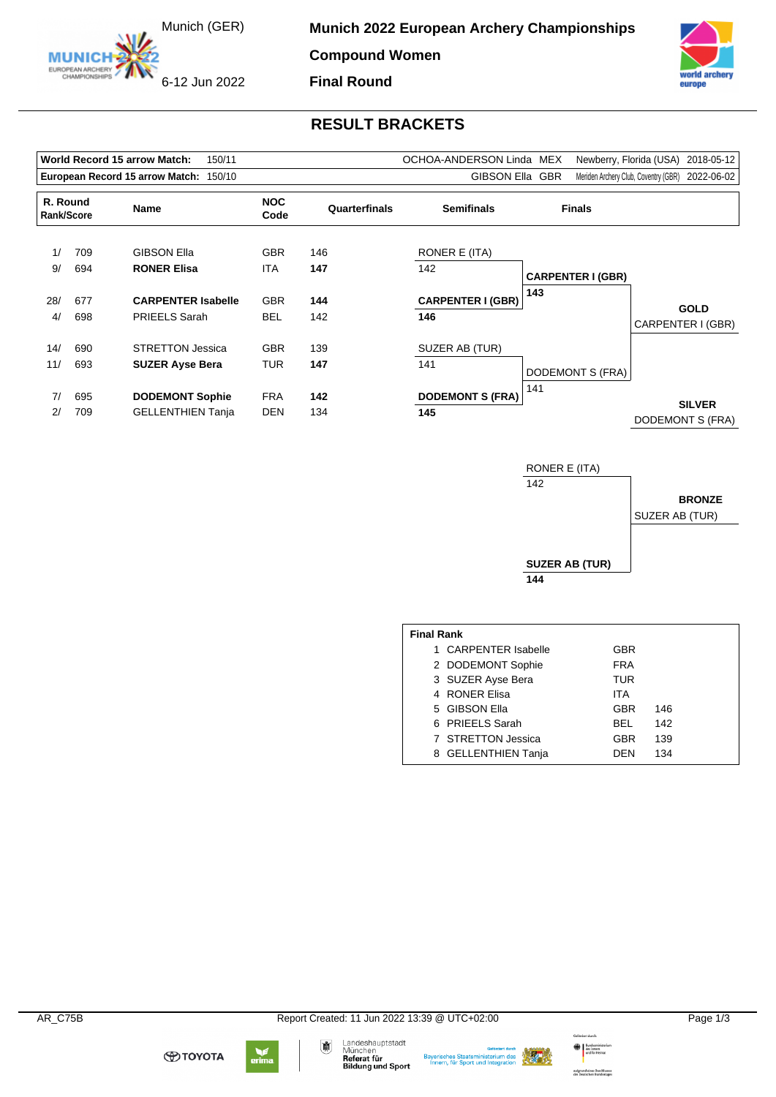Munich (GER)

6-12 Jun 2022

EUROPEAN ARCHERY

**Munich 2022 European Archery Championships** 

**Compound Women**

**Final Round**



## **RESULT BRACKETS**

|                                        |            | World Record 15 arrow Match:<br>150/11 |                    |               | OCHOA-ANDERSON Linda MEX |                          | Newberry, Florida (USA)<br>2018-05-12           |
|----------------------------------------|------------|----------------------------------------|--------------------|---------------|--------------------------|--------------------------|-------------------------------------------------|
| European Record 15 arrow Match: 150/10 |            |                                        |                    |               | GIBSON Ella GBR          |                          | Meriden Archery Club, Coventry (GBR) 2022-06-02 |
| R. Round                               | Rank/Score | Name                                   | <b>NOC</b><br>Code | Quarterfinals | <b>Semifinals</b>        | <b>Finals</b>            |                                                 |
| 1/                                     | 709        | <b>GIBSON Ella</b>                     | <b>GBR</b>         | 146           | RONER E (ITA)            |                          |                                                 |
| 9/                                     | 694        | <b>RONER Elisa</b>                     | <b>ITA</b>         | 147           | 142                      | <b>CARPENTER I (GBR)</b> |                                                 |
| 28/                                    | 677        | <b>CARPENTER Isabelle</b>              | <b>GBR</b>         | 144           | <b>CARPENTER I (GBR)</b> | 143                      | <b>GOLD</b>                                     |
| 4/                                     | 698        | <b>PRIEELS Sarah</b>                   | BEL                | 142           | 146                      |                          | CARPENTER I (GBR)                               |
| 14/                                    | 690        | <b>STRETTON Jessica</b>                | <b>GBR</b>         | 139           | SUZER AB (TUR)           |                          |                                                 |
| 11/                                    | 693        | <b>SUZER Ayse Bera</b>                 | <b>TUR</b>         | 147           | 141                      | DODEMONT S (FRA)         |                                                 |
| 7/                                     | 695        | <b>DODEMONT Sophie</b>                 | <b>FRA</b>         | 142           | <b>DODEMONT S (FRA)</b>  | 141                      |                                                 |
| 2/                                     | 709        | <b>GELLENTHIEN Tanja</b>               | DEN                | 134           | 145                      |                          | <b>SILVER</b><br>DODEMONT S (FRA)               |



| <b>Final Rank</b> |                      |            |     |  |  |  |  |  |
|-------------------|----------------------|------------|-----|--|--|--|--|--|
|                   | 1 CARPENTER Isabelle | <b>GBR</b> |     |  |  |  |  |  |
|                   | 2 DODEMONT Sophie    | <b>FRA</b> |     |  |  |  |  |  |
|                   | 3 SUZER Ayse Bera    | TUR        |     |  |  |  |  |  |
|                   | 4 RONER Elisa        | <b>ITA</b> |     |  |  |  |  |  |
|                   | 5 GIBSON Ella        | GBR        | 146 |  |  |  |  |  |
|                   | 6 PRIEELS Sarah      | BEL        | 142 |  |  |  |  |  |
|                   | 7 STRETTON Jessica   | GBR        | 139 |  |  |  |  |  |
|                   | 8 GELLENTHIEN Tanja  | DFN        | 134 |  |  |  |  |  |





Bayerisches Staatsministerium des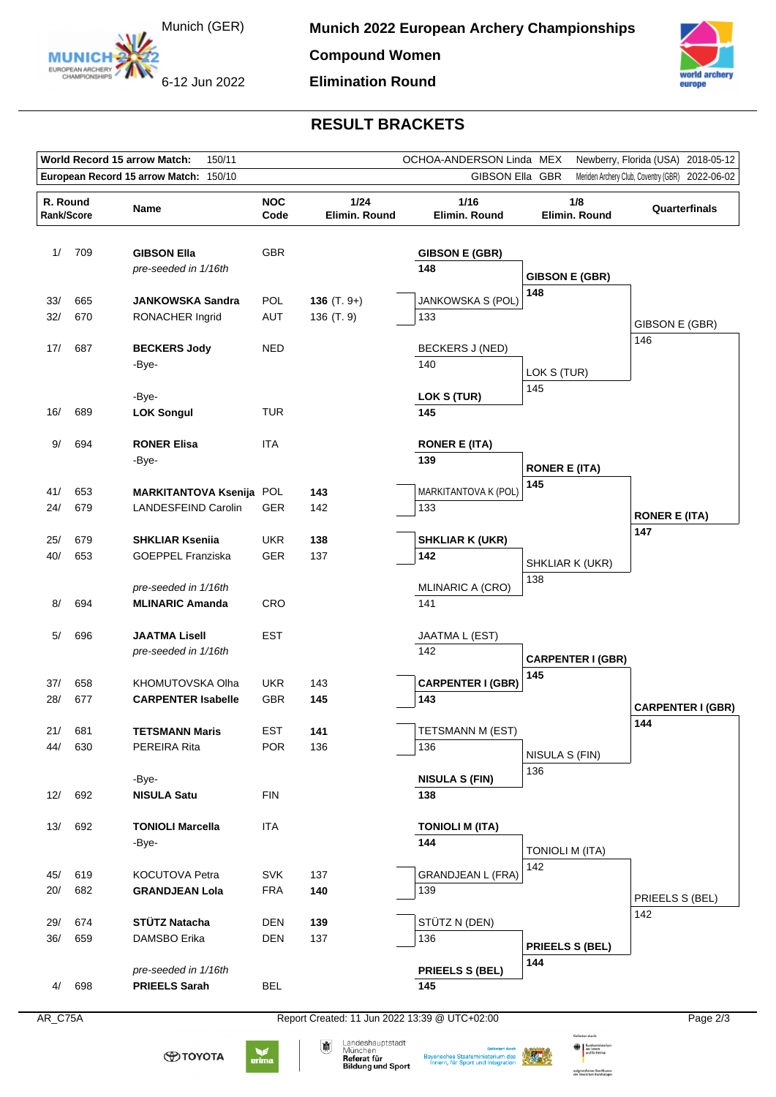

EUROPEAN ARCHERY

**Compound Women Elimination Round**

6-12 Jun 2022



## **RESULT BRACKETS**

| World Record 15 arrow Match:<br>150/11<br>OCHOA-ANDERSON Linda MEX<br>Newberry, Florida (USA)<br>2018-05-12     |            |                                                        |                          |                             |                                 |                          |                                 |
|-----------------------------------------------------------------------------------------------------------------|------------|--------------------------------------------------------|--------------------------|-----------------------------|---------------------------------|--------------------------|---------------------------------|
| European Record 15 arrow Match: 150/10<br>GIBSON Ella GBR<br>Meriden Archery Club, Coventry (GBR)<br>2022-06-02 |            |                                                        |                          |                             |                                 |                          |                                 |
| R. Round<br>Rank/Score                                                                                          |            | Name                                                   | <b>NOC</b><br>Code       | 1/24<br>Elimin. Round       | 1/16<br>Elimin. Round           | 1/8<br>Elimin. Round     | Quarterfinals                   |
| 1/                                                                                                              | 709        | <b>GIBSON Ella</b><br>pre-seeded in 1/16th             | <b>GBR</b>               |                             | <b>GIBSON E (GBR)</b><br>148    | <b>GIBSON E (GBR)</b>    |                                 |
| 33/<br>32/                                                                                                      | 665<br>670 | <b>JANKOWSKA Sandra</b><br>RONACHER Ingrid             | <b>POL</b><br>AUT        | 136 $(T. 9+)$<br>136 (T. 9) | <b>JANKOWSKA S (POL)</b><br>133 | 148                      |                                 |
| 17/                                                                                                             | 687        | <b>BECKERS Jody</b><br>-Bye-                           | <b>NED</b>               |                             | BECKERS J (NED)<br>140          | LOK S (TUR)              | GIBSON E (GBR)<br>146           |
| 16/                                                                                                             | 689        | -Bye-<br><b>LOK Songul</b>                             | <b>TUR</b>               |                             | LOK S (TUR)<br>145              | 145                      |                                 |
| 9/                                                                                                              | 694        | <b>RONER Elisa</b><br>-Bye-                            | ITA                      |                             | <b>RONER E (ITA)</b><br>139     | <b>RONER E (ITA)</b>     |                                 |
| 41/<br>24/                                                                                                      | 653<br>679 | MARKITANTOVA Ksenija POL<br><b>LANDESFEIND Carolin</b> | GER                      | 143<br>142                  | MARKITANTOVA K (POL)<br>133     | 145                      | <b>RONER E (ITA)</b>            |
| 25/<br>40/                                                                                                      | 679<br>653 | <b>SHKLIAR Ksenija</b><br><b>GOEPPEL Franziska</b>     | <b>UKR</b><br><b>GER</b> | 138<br>137                  | <b>SHKLIAR K (UKR)</b><br>142   |                          | 147                             |
|                                                                                                                 |            | pre-seeded in 1/16th                                   |                          |                             | MLINARIC A (CRO)                | SHKLIAR K (UKR)<br>138   |                                 |
| 8/                                                                                                              | 694        | <b>MLINARIC Amanda</b>                                 | <b>CRO</b>               |                             | 141                             |                          |                                 |
| 5/                                                                                                              | 696        | <b>JAATMA Lisell</b><br>pre-seeded in 1/16th           | EST                      |                             | JAATMA L (EST)<br>142           | <b>CARPENTER I (GBR)</b> |                                 |
| 37/                                                                                                             | 658        | KHOMUTOVSKA Olha                                       | <b>UKR</b>               | 143                         | <b>CARPENTER I (GBR)</b>        | 145                      |                                 |
| 28/                                                                                                             | 677        | <b>CARPENTER Isabelle</b>                              | <b>GBR</b>               | 145                         | 143                             |                          | <b>CARPENTER I (GBR)</b><br>144 |
| 21/<br>44/                                                                                                      | 681<br>630 | <b>TETSMANN Maris</b><br>PEREIRA Rita                  | EST<br><b>POR</b>        | 141<br>136                  | TETSMANN M (EST)<br>136         | NISULA S (FIN)           |                                 |
| 12/                                                                                                             | 692        | -Bye-<br><b>NISULA Satu</b>                            | <b>FIN</b>               |                             | <b>NISULA S (FIN)</b><br>138    | 136                      |                                 |
| 13/                                                                                                             | 692        | <b>TONIOLI Marcella</b><br>-Bye-                       | <b>ITA</b>               |                             | <b>TONIOLI M (ITA)</b><br>144   | <b>TONIOLI M (ITA)</b>   |                                 |
| 45/<br>20/                                                                                                      | 619<br>682 | KOCUTOVA Petra<br><b>GRANDJEAN Lola</b>                | <b>SVK</b><br><b>FRA</b> | 137<br>140                  | <b>GRANDJEAN L (FRA)</b><br>139 | 142                      | PRIEELS S (BEL)                 |
| 29/<br>36/                                                                                                      | 674<br>659 | STÜTZ Natacha<br>DAMSBO Erika                          | <b>DEN</b><br><b>DEN</b> | 139<br>137                  | STÜTZ N (DEN)<br>136            | PRIEELS S (BEL)          | 142                             |
| 4/                                                                                                              | 698        | pre-seeded in 1/16th<br><b>PRIEELS Sarah</b>           | <b>BEL</b>               |                             | <b>PRIEELS S (BEL)</b><br>145   | 144                      |                                 |

AR\_C75A Report Created: 11 Jun 2022 13:39 @ UTC+02:00

**ФТОУОТА** 



鄘





 $\bigoplus$   $\bigcup_{\text{dist}}$